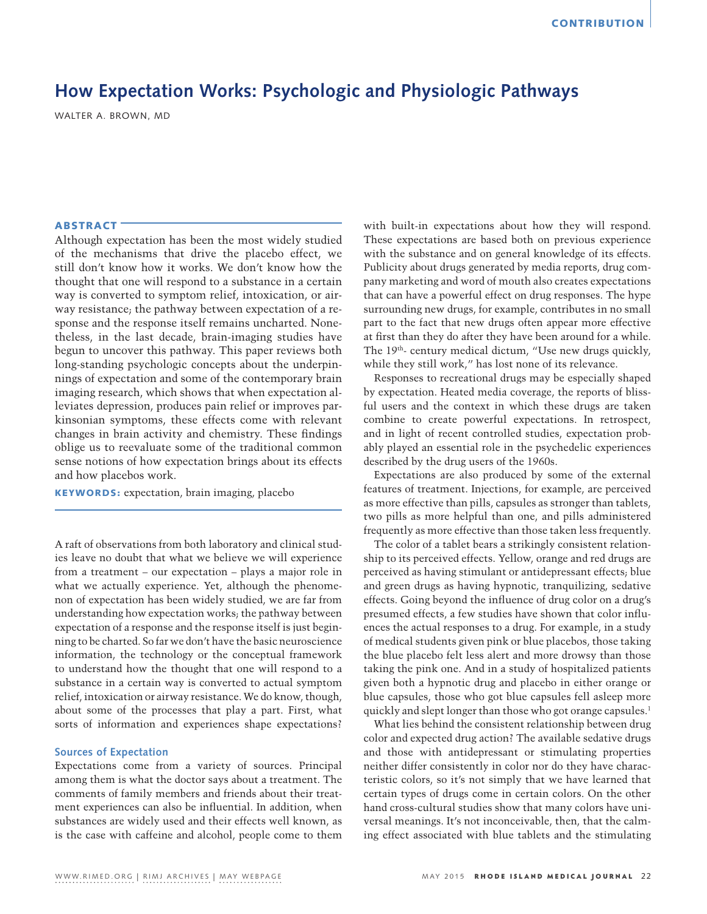# **How Expectation Works: Psychologic and Physiologic Pathways**

WALTER A. BROWN, MD

## **ABSTRACT**

Although expectation has been the most widely studied of the mechanisms that drive the placebo effect, we still don't know how it works. We don't know how the thought that one will respond to a substance in a certain way is converted to symptom relief, intoxication, or airway resistance; the pathway between expectation of a response and the response itself remains uncharted. Nonetheless, in the last decade, brain-imaging studies have begun to uncover this pathway. This paper reviews both long-standing psychologic concepts about the underpinnings of expectation and some of the contemporary brain imaging research, which shows that when expectation alleviates depression, produces pain relief or improves parkinsonian symptoms, these effects come with relevant changes in brain activity and chemistry. These findings oblige us to reevaluate some of the traditional common sense notions of how expectation brings about its effects and how placebos work.

KEYWORDS: expectation, brain imaging, placebo

A raft of observations from both laboratory and clinical studies leave no doubt that what we believe we will experience from a treatment – our expectation – plays a major role in what we actually experience. Yet, although the phenomenon of expectation has been widely studied, we are far from understanding how expectation works; the pathway between expectation of a response and the response itself is just beginning to be charted. So far we don't have the basic neuroscience information, the technology or the conceptual framework to understand how the thought that one will respond to a substance in a certain way is converted to actual symptom relief, intoxication or airway resistance. We do know, though, about some of the processes that play a part. First, what sorts of information and experiences shape expectations?

## **Sources of Expectation**

Expectations come from a variety of sources. Principal among them is what the doctor says about a treatment. The comments of family members and friends about their treatment experiences can also be influential. In addition, when substances are widely used and their effects well known, as is the case with caffeine and alcohol, people come to them with built-in expectations about how they will respond. These expectations are based both on previous experience with the substance and on general knowledge of its effects. Publicity about drugs generated by media reports, drug company marketing and word of mouth also creates expectations that can have a powerful effect on drug responses. The hype surrounding new drugs, for example, contributes in no small part to the fact that new drugs often appear more effective at first than they do after they have been around for a while. The 19<sup>th</sup>- century medical dictum, "Use new drugs quickly, while they still work," has lost none of its relevance.

Responses to recreational drugs may be especially shaped by expectation. Heated media coverage, the reports of blissful users and the context in which these drugs are taken combine to create powerful expectations. In retrospect, and in light of recent controlled studies, expectation probably played an essential role in the psychedelic experiences described by the drug users of the 1960s.

Expectations are also produced by some of the external features of treatment. Injections, for example, are perceived as more effective than pills, capsules as stronger than tablets, two pills as more helpful than one, and pills administered frequently as more effective than those taken less frequently.

The color of a tablet bears a strikingly consistent relationship to its perceived effects. Yellow, orange and red drugs are perceived as having stimulant or antidepressant effects; blue and green drugs as having hypnotic, tranquilizing, sedative effects. Going beyond the influence of drug color on a drug's presumed effects, a few studies have shown that color influences the actual responses to a drug. For example, in a study of medical students given pink or blue placebos, those taking the blue placebo felt less alert and more drowsy than those taking the pink one. And in a study of hospitalized patients given both a hypnotic drug and placebo in either orange or blue capsules, those who got blue capsules fell asleep more quickly and slept longer than those who got orange capsules.<sup>1</sup>

What lies behind the consistent relationship between drug color and expected drug action? The available sedative drugs and those with antidepressant or stimulating properties neither differ consistently in color nor do they have characteristic colors, so it's not simply that we have learned that certain types of drugs come in certain colors. On the other hand cross-cultural studies show that many colors have universal meanings. It's not inconceivable, then, that the calming effect associated with blue tablets and the stimulating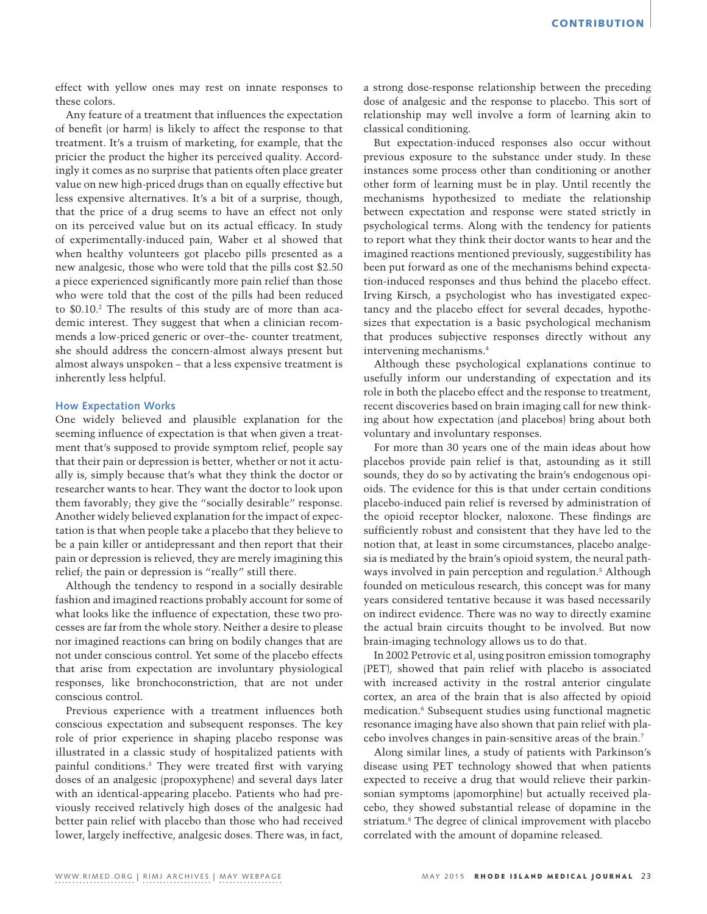effect with yellow ones may rest on innate responses to these colors.

Any feature of a treatment that influences the expectation of benefit (or harm) is likely to affect the response to that treatment. It's a truism of marketing, for example, that the pricier the product the higher its perceived quality. Accordingly it comes as no surprise that patients often place greater value on new high-priced drugs than on equally effective but less expensive alternatives. It's a bit of a surprise, though, that the price of a drug seems to have an effect not only on its perceived value but on its actual efficacy. In study of experimentally-induced pain, Waber et al showed that when healthy volunteers got placebo pills presented as a new analgesic, those who were told that the pills cost \$2.50 a piece experienced significantly more pain relief than those who were told that the cost of the pills had been reduced to \$0.10.<sup>2</sup> The results of this study are of more than academic interest. They suggest that when a clinician recommends a low-priced generic or over–the- counter treatment, she should address the concern-almost always present but almost always unspoken – that a less expensive treatment is inherently less helpful.

## **How Expectation Works**

One widely believed and plausible explanation for the seeming influence of expectation is that when given a treatment that's supposed to provide symptom relief, people say that their pain or depression is better, whether or not it actually is, simply because that's what they think the doctor or researcher wants to hear. They want the doctor to look upon them favorably; they give the "socially desirable" response. Another widely believed explanation for the impact of expectation is that when people take a placebo that they believe to be a pain killer or antidepressant and then report that their pain or depression is relieved, they are merely imagining this relief; the pain or depression is "really" still there.

Although the tendency to respond in a socially desirable fashion and imagined reactions probably account for some of what looks like the influence of expectation, these two processes are far from the whole story. Neither a desire to please nor imagined reactions can bring on bodily changes that are not under conscious control. Yet some of the placebo effects that arise from expectation are involuntary physiological responses, like bronchoconstriction, that are not under conscious control.

Previous experience with a treatment influences both conscious expectation and subsequent responses. The key role of prior experience in shaping placebo response was illustrated in a classic study of hospitalized patients with painful conditions.3 They were treated first with varying doses of an analgesic (propoxyphene) and several days later with an identical-appearing placebo. Patients who had previously received relatively high doses of the analgesic had better pain relief with placebo than those who had received lower, largely ineffective, analgesic doses. There was, in fact,

a strong dose-response relationship between the preceding dose of analgesic and the response to placebo. This sort of relationship may well involve a form of learning akin to classical conditioning.

But expectation-induced responses also occur without previous exposure to the substance under study. In these instances some process other than conditioning or another other form of learning must be in play. Until recently the mechanisms hypothesized to mediate the relationship between expectation and response were stated strictly in psychological terms. Along with the tendency for patients to report what they think their doctor wants to hear and the imagined reactions mentioned previously, suggestibility has been put forward as one of the mechanisms behind expectation-induced responses and thus behind the placebo effect. Irving Kirsch, a psychologist who has investigated expectancy and the placebo effect for several decades, hypothesizes that expectation is a basic psychological mechanism that produces subjective responses directly without any intervening mechanisms.4

Although these psychological explanations continue to usefully inform our understanding of expectation and its role in both the placebo effect and the response to treatment, recent discoveries based on brain imaging call for new thinking about how expectation (and placebos) bring about both voluntary and involuntary responses.

For more than 30 years one of the main ideas about how placebos provide pain relief is that, astounding as it still sounds, they do so by activating the brain's endogenous opioids. The evidence for this is that under certain conditions placebo-induced pain relief is reversed by administration of the opioid receptor blocker, naloxone. These findings are sufficiently robust and consistent that they have led to the notion that, at least in some circumstances, placebo analgesia is mediated by the brain's opioid system, the neural pathways involved in pain perception and regulation.5 Although founded on meticulous research, this concept was for many years considered tentative because it was based necessarily on indirect evidence. There was no way to directly examine the actual brain circuits thought to be involved. But now brain-imaging technology allows us to do that.

In 2002 Petrovic et al, using positron emission tomography (PET), showed that pain relief with placebo is associated with increased activity in the rostral anterior cingulate cortex, an area of the brain that is also affected by opioid medication.6 Subsequent studies using functional magnetic resonance imaging have also shown that pain relief with placebo involves changes in pain-sensitive areas of the brain.7

Along similar lines, a study of patients with Parkinson's disease using PET technology showed that when patients expected to receive a drug that would relieve their parkinsonian symptoms (apomorphine) but actually received placebo, they showed substantial release of dopamine in the striatum.8 The degree of clinical improvement with placebo correlated with the amount of dopamine released.